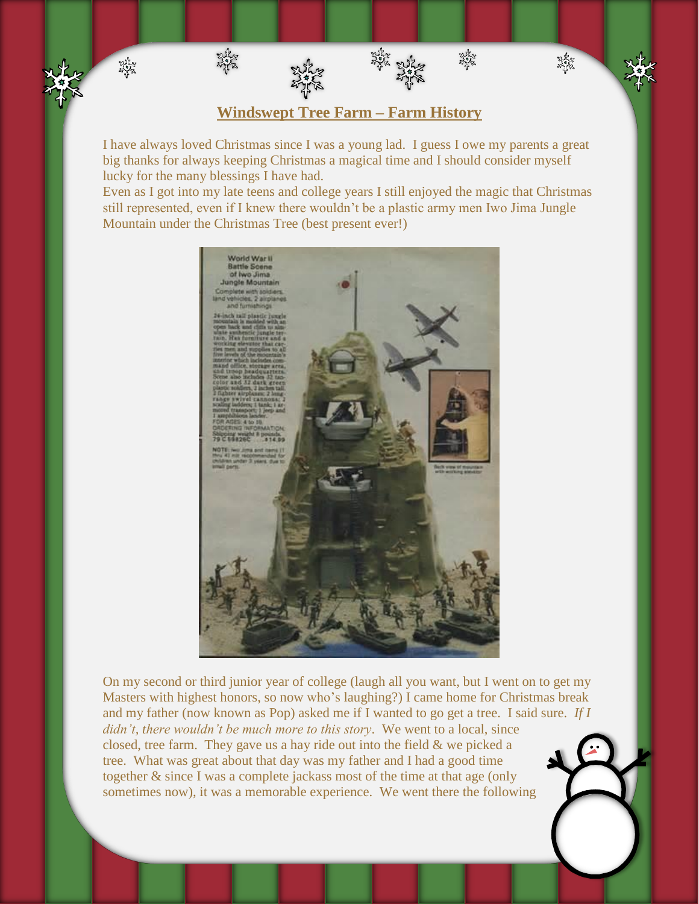## **Windswept Tree Farm – Farm History**

淡紫

紫紫

蒂 双

路线

淡路

I have always loved Christmas since I was a young lad. I guess I owe my parents a great big thanks for always keeping Christmas a magical time and I should consider myself lucky for the many blessings I have had.

Even as I got into my late teens and college years I still enjoyed the magic that Christmas still represented, even if I knew there wouldn't be a plastic army men Iwo Jima Jungle Mountain under the Christmas Tree (best present ever!)



On my second or third junior year of college (laugh all you want, but I went on to get my Masters with highest honors, so now who's laughing?) I came home for Christmas break and my father (now known as Pop) asked me if I wanted to go get a tree. I said sure. *If I didn't, there wouldn't be much more to this story*. We went to a local, since closed, tree farm. They gave us a hay ride out into the field & we picked a tree. What was great about that day was my father and I had a good time together & since I was a complete jackass most of the time at that age (only sometimes now), it was a memorable experience. We went there the following